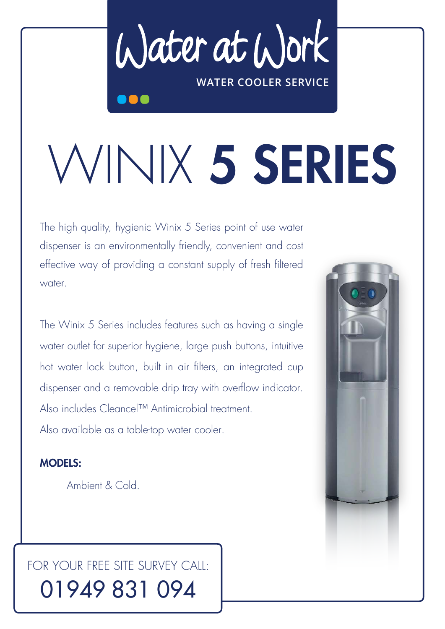Water at Work **WATER COOLER SERVICE**

## WINIX 5 SERIES

The high quality, hygienic Winix 5 Series point of use water dispenser is an environmentally friendly, convenient and cost effective way of providing a constant supply of fresh filtered water.

The Winix 5 Series includes features such as having a single water outlet for superior hygiene, large push buttons, intuitive hot water lock button, built in air filters, an integrated cup dispenser and a removable drip tray with overflow indicator. Also includes Cleancel™ Antimicrobial treatment. Also available as a table-top water cooler.

## MODELS:

Ambient & Cold.

## FOR YOUR FREE SITE SURVEY CALL: 01949 831 094